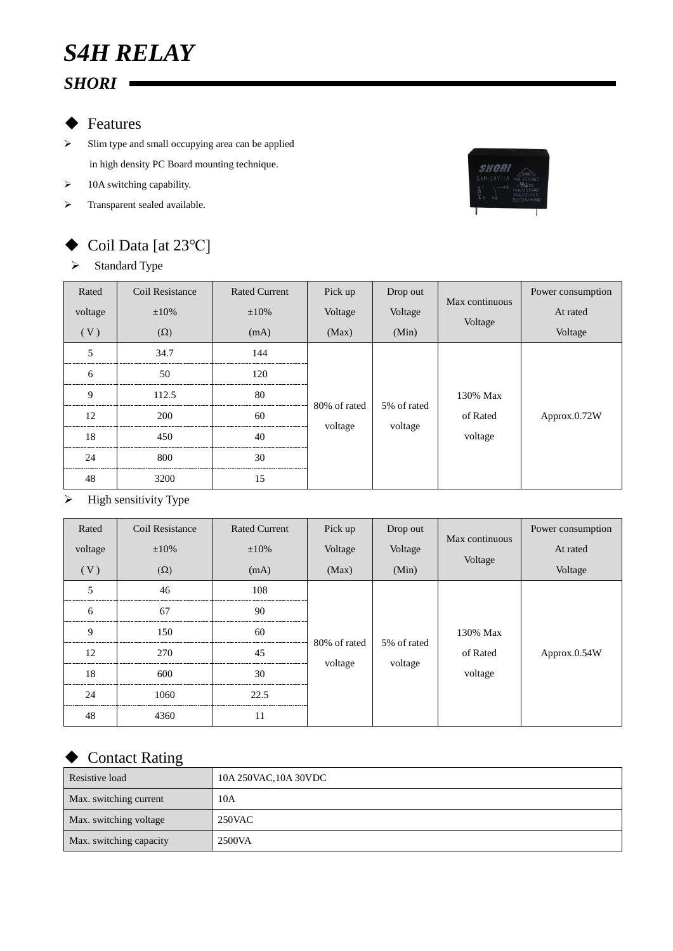## ◆ Features

- $\triangleright$  Slim type and small occupying area can be applied in high density PC Board mounting technique.
- $\triangleright$  10A switching capability.
- > Transparent sealed available.



# Coil Data [at 23℃]

### $\triangleright$  Standard Type

| Rated<br>voltage<br>(V) | Coil Resistance<br>$\pm 10\%$<br>$(\Omega)$ | <b>Rated Current</b><br>$\pm 10\%$<br>(mA) | Pick up<br>Voltage<br>(Max) | Drop out<br>Voltage<br>(Min) | Max continuous<br>Voltage | Power consumption<br>At rated<br>Voltage |  |
|-------------------------|---------------------------------------------|--------------------------------------------|-----------------------------|------------------------------|---------------------------|------------------------------------------|--|
| 5                       | 34.7                                        | 144                                        | 80% of rated<br>voltage     |                              |                           |                                          |  |
| 6                       | 50                                          | 120                                        |                             |                              |                           |                                          |  |
| 9                       | 112.5                                       | 80                                         |                             |                              | 5% of rated               | 130% Max                                 |  |
| 12                      | 200                                         | 60                                         |                             |                              | of Rated                  | Approx.0.72W                             |  |
| 18                      | 450                                         | 40                                         |                             | voltage                      | voltage                   |                                          |  |
| 24                      | 800                                         | 30                                         |                             |                              |                           |                                          |  |
| 48                      | 3200                                        | 15                                         |                             |                              |                           |                                          |  |

#### $\triangleright$  High sensitivity Type

| Rated   | Coil Resistance<br>$\pm 10\%$ | <b>Rated Current</b> | Pick up                 | Drop out | Max continuous | Power consumption<br>At rated |  |
|---------|-------------------------------|----------------------|-------------------------|----------|----------------|-------------------------------|--|
| voltage |                               | $\pm 10\%$           | Voltage                 | Voltage  | Voltage        |                               |  |
| (V)     | $(\Omega)$                    | (mA)                 | (Max)                   | (Min)    |                | Voltage                       |  |
| 5       | 46                            | 108                  | 80% of rated<br>voltage |          |                |                               |  |
| 6       | 67                            | 90                   |                         |          |                |                               |  |
| 9       | 150                           | 60                   |                         |          | 5% of rated    | 130% Max                      |  |
| 12      | 270                           | 45                   |                         | voltage  | of Rated       | Approx.0.54W                  |  |
| 18      | 600                           | 30                   |                         |          | voltage        |                               |  |
| 24      | 1060                          | 22.5                 |                         |          |                |                               |  |
| 48      | 4360                          | 11                   |                         |          |                |                               |  |

### ◆ Contact Rating

| Resistive load          | 10A 250VAC, 10A 30VDC |
|-------------------------|-----------------------|
| Max. switching current  | 10A                   |
| Max. switching voltage  | 250VAC                |
| Max. switching capacity | 2500VA                |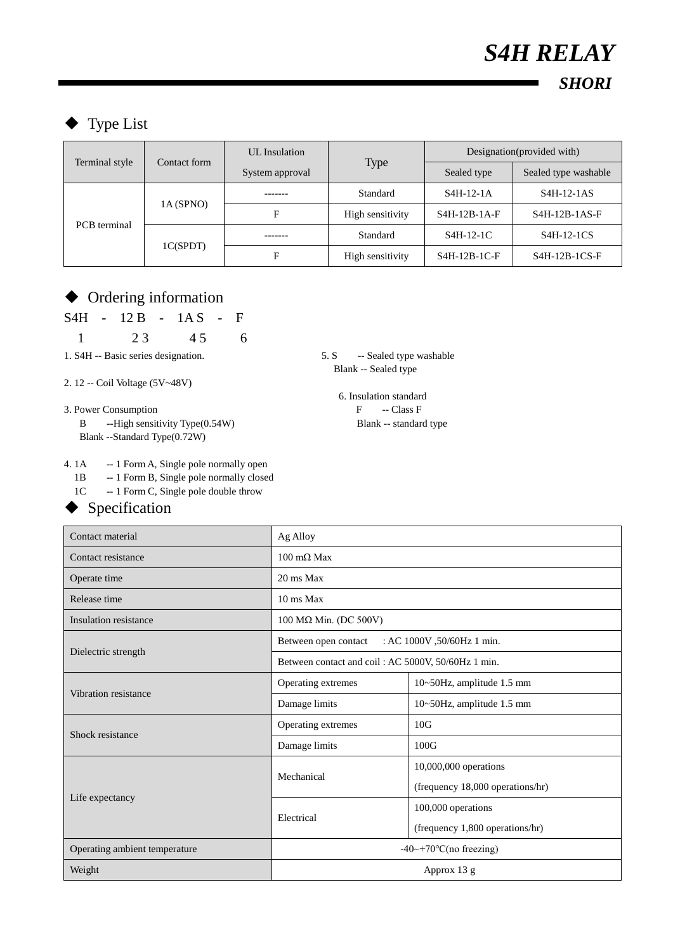# Type List

| Terminal style      | Contact form | UL Insulation   |                  | Designation (provided with) |                                                  |
|---------------------|--------------|-----------------|------------------|-----------------------------|--------------------------------------------------|
|                     |              | System approval | <b>Type</b>      | Sealed type                 | Sealed type washable                             |
| <b>PCB</b> terminal | 1A(SPNO)     |                 | Standard         | $S4H-12-1A$                 | S <sub>4</sub> H-12-1AS                          |
|                     |              | F               | High sensitivity | $S4H-12B-1A-F$              | $S4H-12B-1AS-F$                                  |
|                     | 1C(SPDT)     |                 | Standard         | $S4H-12-1C$                 | S <sub>4</sub> H <sub>-12</sub> -1C <sub>S</sub> |
|                     |              | Е               | High sensitivity | $S4H-12B-1C-F$              | $S4H-12B-1CS-F$                                  |

### Ordering information

S4H - 12 B - 1A S - F

1 2 3 4 5 6

1. S4H -- Basic series designation. 5. S -- Sealed type washable

2. 12 -- Coil Voltage (5V~48V)

3. Power Consumption F -- Class F

B --High sensitivity Type(0.54W) Blank -- standard type Blank --Standard Type(0.72W)

4. 1A -- 1 Form A, Single pole normally open

1B -- 1 Form B, Single pole normally closed

1C -- 1 Form C, Single pole double throw

#### ◆ Specification

Blank -- Sealed type

6. Insulation standard

| Contact material              | Ag Alloy                                            |                                  |  |
|-------------------------------|-----------------------------------------------------|----------------------------------|--|
| Contact resistance            | $100 \text{ m}\Omega$ Max                           |                                  |  |
| Operate time                  | 20 ms Max                                           |                                  |  |
| Release time                  | 10 ms Max                                           |                                  |  |
| Insulation resistance         | $100$ MΩ Min. (DC 500V)                             |                                  |  |
|                               | : AC 1000V , 50/60Hz 1 min.<br>Between open contact |                                  |  |
| Dielectric strength           | Between contact and coil: AC 5000V, 50/60Hz 1 min.  |                                  |  |
| Vibration resistance          | Operating extremes                                  | 10~50Hz, amplitude 1.5 mm        |  |
|                               | Damage limits                                       | 10~50Hz, amplitude 1.5 mm        |  |
| Shock resistance              | Operating extremes                                  | 10G                              |  |
|                               | Damage limits                                       | 100G                             |  |
|                               | Mechanical                                          | 10,000,000 operations            |  |
|                               |                                                     | (frequency 18,000 operations/hr) |  |
| Life expectancy               | Electrical                                          | 100,000 operations               |  |
|                               |                                                     | (frequency 1,800 operations/hr)  |  |
| Operating ambient temperature | $-40 \rightarrow +70$ °C(no freezing)               |                                  |  |
| Weight                        | Approx 13 g                                         |                                  |  |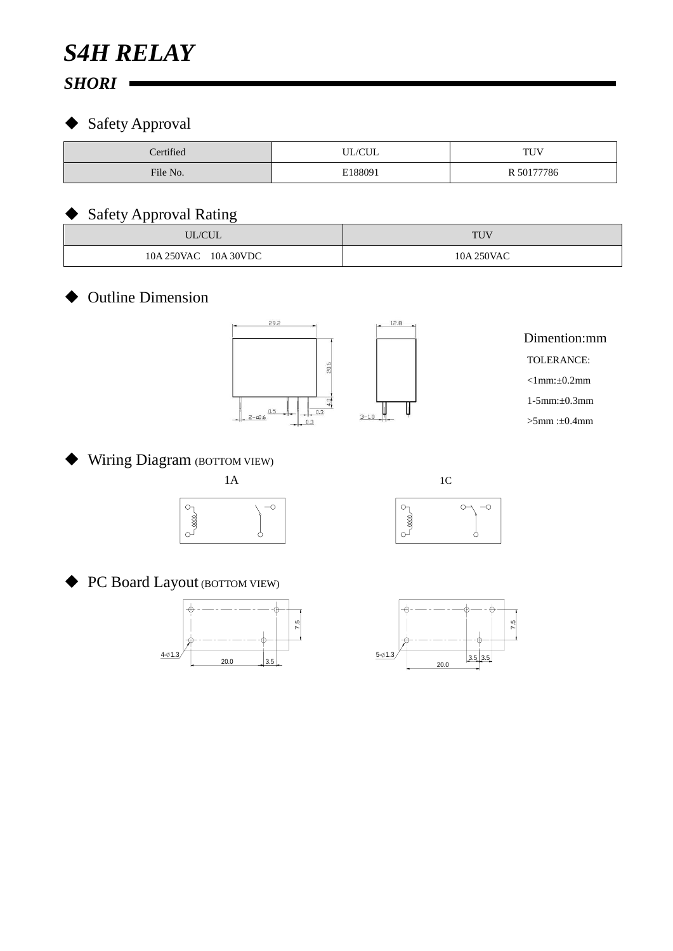# *S4H RELAY*

## *SHORI*

## ◆ Safety Approval

| Certified | <b>UL/CUL</b> | TUV        |
|-----------|---------------|------------|
| File No.  | E188091       | R 50177786 |

### Safety Approval Rating

| --<br>UL/CUL            | <b>TUV</b> |
|-------------------------|------------|
| 10A 30VDC<br>10A 250VAC | 10A 250VAC |

### Outline Dimension



## Wiring Diagram (BOTTOM VIEW)





PC Board Layout (BOTTOM VIEW)